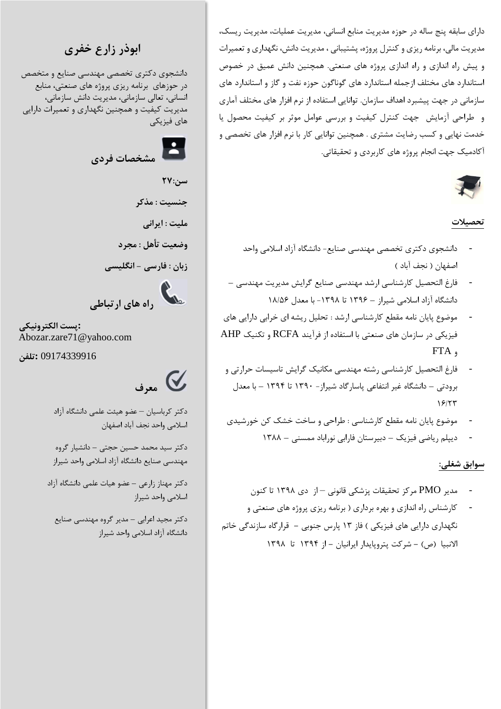دارای سابقه پنج ساله در حوزه مدیریت منابع انسانی، مدیریت عملیات، مدیریت ریسک، مدیریت مالی، برنامه ریزی و کنترل پروژه، پشتیبانی ، مدیریت دانش، نگهداری و تعمیرات و پیش راه اندازی و راه اندازی پروژه های صنعتی. همچنین دانش عمیق در خصوص استاندارد های مختلف ازجمله استاندارد های گوناگون حوزه نفت و گاز و استاندارد های سازمانی در جهت پیشبرد اهداف سازمان. توانایی استفاده از نرم افزار های مختلف آماری و طراحی آزمایش جهت کنترل کیفیت و بررسی عوامل موثر بر کیفیت محصول یا خدمت نهایی و کسب رضایت مشتری . همچنین توانایی کار با نرم افزار های تخصصی و آکادمیک جهت انجام پروژه های کاربردی و تحقیقاتی.

#### **تحصیالت**

- دانشجوی دکتری تخصصی مهندسی صنایع- دانشگاه آزاد اسالمی واحد اصفهان ( نجف آباد )
- فارغ التحصیل کارشناسی ارشد مهندسی صنایع گرایش مدیریت مهندسی دانشگاه آزاد اسالمی شیراز – 1396 تا -1398 با معدل 18/56
- موضوع پایان نامه مقطع کارشناسی ارشد : تحلیل ریشه ای خرابی دارایی های فیزیکی در سازمان های صنعتی با استفاده از فرآیند RCFA و تکنیک AHP و FTA
- فارغ التحصیل کارشناسی رشته مهندسی مکانیک گرایش تاسیسات حرارتی و برودتی – دانشگاه غیر انتفاعی پاسارگاد شیراز- 1390 تا 1394 – با معدل  $15/77$
- موضوع پایان نامه مقطع کارشناسی : طراحی و ساخت خشک کن خورشیدی
	- دیپلم ریاضی فیزیک دبیرستان فارابی نوراباد ممسنی 1388

#### **سوابق شغلی:**

- مدیر PMO مرکز تحقیقات پزشکی قانونی از دی 1398 تا کنون
- کارشناس راه اندازی و بهره برداری ) برنامه ریزی پروژه های صنعتی و نگهداری دارایی های فیزیکی ( فاز 13 پارس جنوبی **-** قرارگاه سازندگی خاتم االنبیا )ص( **-** شرکت پتروپایدار ایرانیان **-** از 1394 تا 1398

**ابوذر زارع خفری**

دانشجوی دکتری تخصصی مهندسی صنایع و متخصص در حوزهای برنامه ریزی پروژه های صنعتی، منابع انسانی، تعالی سازمانی، مدیریت دانش سازمانی، مدیریت کیفیت و همچنین نگهداری و تعمیرات دارایی های فیزیکی



سن:**۲۷** 

**جنسیت : مذکر**

**ملیت : ایرانی**

**وضعیت تأهل : مجرد**

**زبان : فارسی - انگلیسی**

 **راه های ارتباطی**

**:پست الکترونیکی** Abozar.zare71@yahoo.com

09174339916 **:تلفن**

 **معرف**

دکتر کرباسیان – عضو هیئت علمی دانشگاه آزاد اسالمی واحد نجف آباد اصفهان

دکتر سید محمد حسین حجتی – دانشیار گروه مهندسی صنایع دانشگاه آزاد اسالمی واحد شیراز

دکتر مهناز زارعی – عضو هیات علمی دانشگاه آزاد اسالمی واحد شیراز

دکتر مجید اعرابی – مدیر گروه مهندسی صنایع دانشگاه آزاد اسالمی واحد شیراز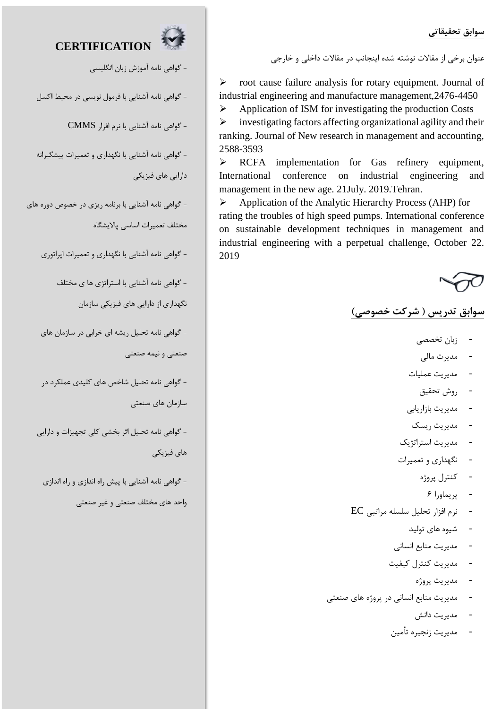**سوابق تحقیقاتی**

عنوان برخی از مقاالت نوشته شده اینجانب در مقاالت داخلی و خارجی

**CERTIFICATION**

- گواهی نامه آموزش زبان انگلیسی

- گواهی نامه آشنایی با فرمول نویسی در محیط اکسل

- گواهی نامه آشنایی با نرم افزار CMMS

- گواهی نامه آشنایی با نگهداری و تعمیرات پیشگیرانه

دارایی های فیزیکی

- گواهی نامه آشنایی با برنامه ریزی در خصوص دوره های مختلف تعمیرات اساسی پاالیشگاه

- گواهی نامه آشنایی با نگهداری و تعمیرات اپراتوری

- گواهی نامه آشنایی با استراتژی ها ی مختلف

نگهداری از دارایی های فیزیکی سازمان

- گواهی نامه تحلیل ریشه ای خرابی در سازمان های صنعتی و نیمه صنعتی

- گواهی نامه تحلیل شاخص های کلیدی عملکرد در سازمان های صنعتی

- گواهی نامه تحلیل اثر بخشی کلی تجهیزات و دارایی های فیزیکی

- گواهی نامه آشنایی با پیش راه اندازی و راه اندازی

واحد های مختلف صنعتی و غیر صنعتی

 $\triangleright$  root cause failure analysis for rotary equipment. Journal of industrial engineering and manufacture management,2476-4450

 $\triangleright$  Application of ISM for investigating the production Costs  $\triangleright$  investigating factors affecting organizational agility and their ranking. Journal of New research in management and accounting, 2588-3593

> RCFA implementation for Gas refinery equipment, International conference on industrial engineering and management in the new age. 21July. 2019.Tehran.

 Application of the Analytic Hierarchy Process (AHP) for rating the troubles of high speed pumps. International conference on sustainable development techniques in management and industrial engineering with a perpetual challenge, October 22. 2019

# **سوابق تدریس ) شرکت خصوصی(**

- زبان تخصصی
- مدیرت مالی
- مدیریت عملیات
	- روش تحقیق
- مدیریت بازاریابی
	- مدیریت ریسک
- مدیریت استراتژیک
- نگهداری و تعمیرات
	- کنترل پروژه
		- پریماورا 6
- نرم افزار تحلیل سلسله مراتبی EC
	- شیوه های تولید
	- مدیریت منابع انسانی
	- مدیریت کنترل کیفیت
		- مدیریت پروژه
- مدیریت منابع انسانی در پروژه های صنعتی
	- مدیریت دانش
	- مدیریت زنجیره تأمین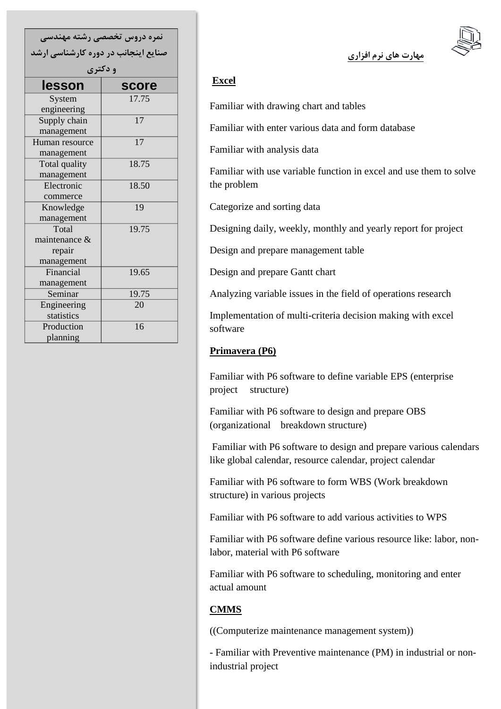| نمره دروس تخصصی رشته مهندسی         |       |
|-------------------------------------|-------|
| صنایع اینجانب در دوره کارشناسی ارشد |       |
| و دکتری                             |       |
| lesson                              | score |
| System                              | 17.75 |
| engineering                         |       |
| Supply chain                        | 17    |
| management                          |       |
| Human resource                      | 17    |
| management                          |       |
| Total quality                       | 18.75 |
| management                          |       |
| Electronic                          | 18.50 |
| commerce                            |       |
| Knowledge                           | 19    |
| management                          |       |
| Total                               | 19.75 |
| maintenance &                       |       |
| repair                              |       |
| management                          |       |
| Financial                           | 19.65 |
| management                          |       |
| Seminar                             | 19.75 |
| Engineering                         | 20    |
| statistics                          |       |
| Production                          | 16    |
| planning                            |       |

**مهارت های نرم افزاری**

## **Excel**

Familiar with drawing chart and tables

Familiar with enter various data and form database

Familiar with analysis data

Familiar with use variable function in excel and use them to solve the problem

Categorize and sorting data

Designing daily, weekly, monthly and yearly report for project

Design and prepare management table

Design and prepare Gantt chart

Analyzing variable issues in the field of operations research

Implementation of multi-criteria decision making with excel software

#### **Primavera (P6)**

Familiar with P6 software to define variable EPS (enterprise project structure)

Familiar with P6 software to design and prepare OBS (organizational breakdown structure)

Familiar with P6 software to design and prepare various calendars like global calendar, resource calendar, project calendar

Familiar with P6 software to form WBS (Work breakdown structure) in various projects

Familiar with P6 software to add various activities to WPS

Familiar with P6 software define various resource like: labor, nonlabor, material with P6 software

Familiar with P6 software to scheduling, monitoring and enter actual amount

# **CMMS**

((Computerize maintenance management system))

- Familiar with Preventive maintenance (PM) in industrial or nonindustrial project

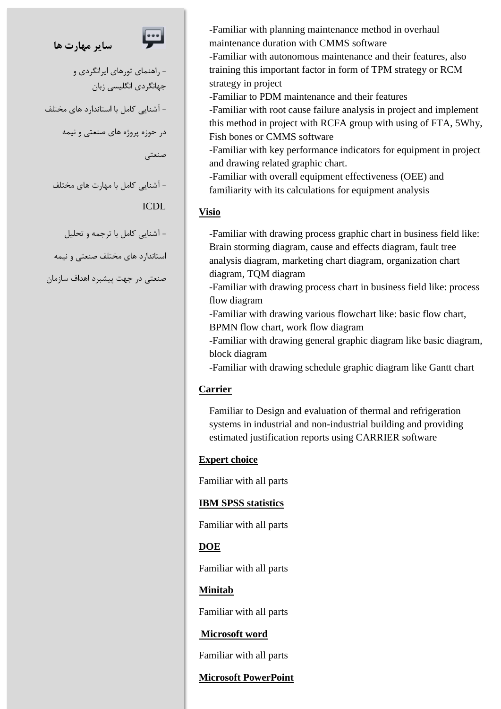# **سایر مهارت ها**



- راهنمای تورهای ایرانگردی و جهانگردی انگلیسی زبان - آشنایی کامل با استاندارد های مختلف در حوزه پروژه های صنعتی و نیمه صنعتی

- آشنایی کامل با مهارت های مختلف ICDL

- آشنایی کامل با ترجمه و تحلیل

استاندارد های مختلف صنعتی و نیمه

صنعتی در جهت پیشبرد اهداف سازمان

-Familiar with planning maintenance method in overhaul maintenance duration with CMMS software

-Familiar with autonomous maintenance and their features, also training this important factor in form of TPM strategy or RCM strategy in project

-Familiar to PDM maintenance and their features

-Familiar with root cause failure analysis in project and implement this method in project with RCFA group with using of FTA, 5Why, Fish bones or CMMS software

-Familiar with key performance indicators for equipment in project and drawing related graphic chart.

-Familiar with overall equipment effectiveness (OEE) and familiarity with its calculations for equipment analysis

## **Visio**

-Familiar with drawing process graphic chart in business field like: Brain storming diagram, cause and effects diagram, fault tree analysis diagram, marketing chart diagram, organization chart diagram, TQM diagram

-Familiar with drawing process chart in business field like: process flow diagram

-Familiar with drawing various flowchart like: basic flow chart, BPMN flow chart, work flow diagram

-Familiar with drawing general graphic diagram like basic diagram, block diagram

-Familiar with drawing schedule graphic diagram like Gantt chart

## **Carrier**

Familiar to Design and evaluation of thermal and refrigeration systems in industrial and non-industrial building and providing estimated justification reports using CARRIER software

## **Expert choice**

Familiar with all parts

## **IBM SPSS statistics**

Familiar with all parts

## **DOE**

Familiar with all parts

## **Minitab**

Familiar with all parts

## **Microsoft word**

Familiar with all parts

# **Microsoft PowerPoint**